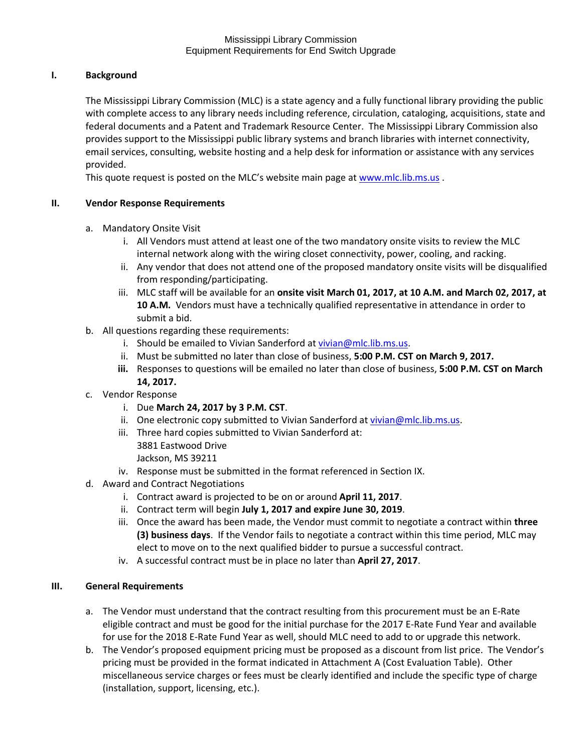### Mississippi Library Commission Equipment Requirements for End Switch Upgrade

# **I. Background**

The Mississippi Library Commission (MLC) is a state agency and a fully functional library providing the public with complete access to any library needs including reference, circulation, cataloging, acquisitions, state and federal documents and a Patent and Trademark Resource Center. The Mississippi Library Commission also provides support to the Mississippi public library systems and branch libraries with internet connectivity, email services, consulting, website hosting and a help desk for information or assistance with any services provided.

This quote request is posted on the MLC's website main page at [www.mlc.lib.ms.us](http://www.mlc.lib.ms.us/).

## **II. Vendor Response Requirements**

- a. Mandatory Onsite Visit
	- i. All Vendors must attend at least one of the two mandatory onsite visits to review the MLC internal network along with the wiring closet connectivity, power, cooling, and racking.
	- ii. Any vendor that does not attend one of the proposed mandatory onsite visits will be disqualified from responding/participating.
	- iii. MLC staff will be available for an **onsite visit March 01, 2017, at 10 A.M. and March 02, 2017, at 10 A.M.** Vendors must have a technically qualified representative in attendance in order to submit a bid.
- b. All questions regarding these requirements:
	- i. Should be emailed to Vivian Sanderford at [vivian@mlc.lib.ms.us.](mailto:vivian@mlc.lib.ms.us)
	- ii. Must be submitted no later than close of business, **5:00 P.M. CST on March 9, 2017.**
	- **iii.** Responses to questions will be emailed no later than close of business, **5:00 P.M. CST on March 14, 2017.**
- c. Vendor Response
	- i. Due **March 24, 2017 by 3 P.M. CST**.
	- ii. One electronic copy submitted to Vivian Sanderford a[t vivian@mlc.lib.ms.us.](mailto:vivian@mlc.lib.ms.us)
	- iii. Three hard copies submitted to Vivian Sanderford at:
		- 3881 Eastwood Drive
		- Jackson, MS 39211
	- iv. Response must be submitted in the format referenced in Section IX.
- d. Award and Contract Negotiations
	- i. Contract award is projected to be on or around **April 11, 2017**.
	- ii. Contract term will begin **July 1, 2017 and expire June 30, 2019**.
	- iii. Once the award has been made, the Vendor must commit to negotiate a contract within **three (3) business days**. If the Vendor fails to negotiate a contract within this time period, MLC may elect to move on to the next qualified bidder to pursue a successful contract.
	- iv. A successful contract must be in place no later than **April 27, 2017**.

## **III. General Requirements**

- a. The Vendor must understand that the contract resulting from this procurement must be an E-Rate eligible contract and must be good for the initial purchase for the 2017 E-Rate Fund Year and available for use for the 2018 E-Rate Fund Year as well, should MLC need to add to or upgrade this network.
- b. The Vendor's proposed equipment pricing must be proposed as a discount from list price. The Vendor's pricing must be provided in the format indicated in Attachment A (Cost Evaluation Table). Other miscellaneous service charges or fees must be clearly identified and include the specific type of charge (installation, support, licensing, etc.).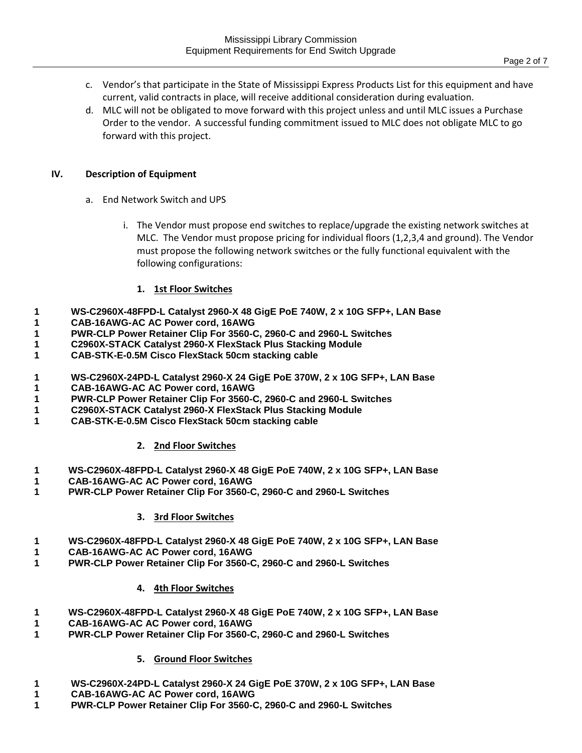- c. Vendor's that participate in the State of Mississippi Express Products List for this equipment and have current, valid contracts in place, will receive additional consideration during evaluation.
- d. MLC will not be obligated to move forward with this project unless and until MLC issues a Purchase Order to the vendor. A successful funding commitment issued to MLC does not obligate MLC to go forward with this project.

### **IV. Description of Equipment**

- a. End Network Switch and UPS
	- i. The Vendor must propose end switches to replace/upgrade the existing network switches at MLC. The Vendor must propose pricing for individual floors (1,2,3,4 and ground). The Vendor must propose the following network switches or the fully functional equivalent with the following configurations:

## **1. 1st Floor Switches**

- **1 WS-C2960X-48FPD-L Catalyst 2960-X 48 GigE PoE 740W, 2 x 10G SFP+, LAN Base**
- **1 CAB-16AWG-AC AC Power cord, 16AWG**
- **1 PWR-CLP Power Retainer Clip For 3560-C, 2960-C and 2960-L Switches**
- **1 C2960X-STACK Catalyst 2960-X FlexStack Plus Stacking Module**
- **1 CAB-STK-E-0.5M Cisco FlexStack 50cm stacking cable**
- **1 WS-C2960X-24PD-L Catalyst 2960-X 24 GigE PoE 370W, 2 x 10G SFP+, LAN Base**
- **1 CAB-16AWG-AC AC Power cord, 16AWG**
- **1 PWR-CLP Power Retainer Clip For 3560-C, 2960-C and 2960-L Switches**
- **1 C2960X-STACK Catalyst 2960-X FlexStack Plus Stacking Module**
- **1 CAB-STK-E-0.5M Cisco FlexStack 50cm stacking cable**

## **2. 2nd Floor Switches**

- **1 WS-C2960X-48FPD-L Catalyst 2960-X 48 GigE PoE 740W, 2 x 10G SFP+, LAN Base**
- **1 CAB-16AWG-AC AC Power cord, 16AWG**
- **1 PWR-CLP Power Retainer Clip For 3560-C, 2960-C and 2960-L Switches**

#### **3. 3rd Floor Switches**

- **1 WS-C2960X-48FPD-L Catalyst 2960-X 48 GigE PoE 740W, 2 x 10G SFP+, LAN Base**
- **1 CAB-16AWG-AC AC Power cord, 16AWG**
- **1 PWR-CLP Power Retainer Clip For 3560-C, 2960-C and 2960-L Switches**

## **4. 4th Floor Switches**

- **1 WS-C2960X-48FPD-L Catalyst 2960-X 48 GigE PoE 740W, 2 x 10G SFP+, LAN Base**
- **1 CAB-16AWG-AC AC Power cord, 16AWG**
- **1 PWR-CLP Power Retainer Clip For 3560-C, 2960-C and 2960-L Switches**

## **5. Ground Floor Switches**

- **1 WS-C2960X-24PD-L Catalyst 2960-X 24 GigE PoE 370W, 2 x 10G SFP+, LAN Base**
- **1 CAB-16AWG-AC AC Power cord, 16AWG**
- **1 PWR-CLP Power Retainer Clip For 3560-C, 2960-C and 2960-L Switches**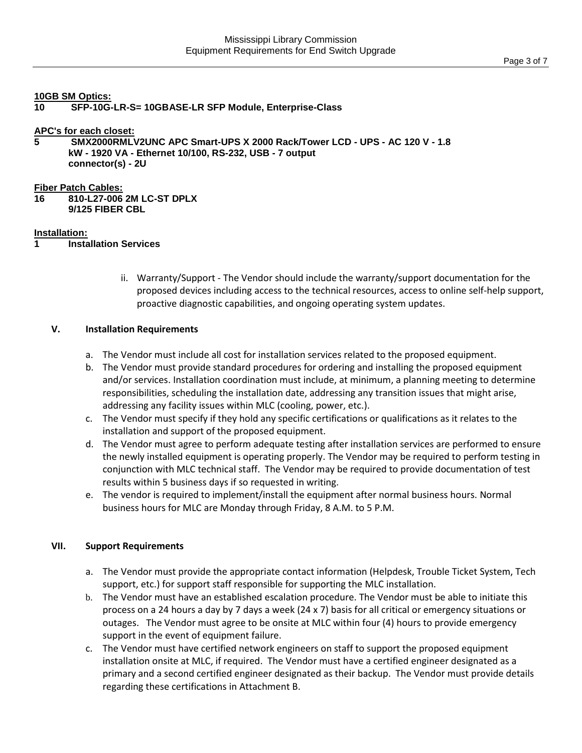#### **10GB SM Optics:**

**10 SFP-10G-LR-S= 10GBASE-LR SFP Module, Enterprise-Class**

**APC's for each closet:**

**5 SMX2000RMLV2UNC APC Smart-UPS X 2000 Rack/Tower LCD - UPS - AC 120 V - 1.8 kW - 1920 VA - Ethernet 10/100, RS-232, USB - 7 output connector(s) - 2U**

#### **Fiber Patch Cables:**

**16 810-L27-006 2M LC-ST DPLX 9/125 FIBER CBL**

### **Installation:**

- **1 Installation Services**
	- ii. Warranty/Support The Vendor should include the warranty/support documentation for the proposed devices including access to the technical resources, access to online self-help support, proactive diagnostic capabilities, and ongoing operating system updates.

### **V. Installation Requirements**

- a. The Vendor must include all cost for installation services related to the proposed equipment.
- b. The Vendor must provide standard procedures for ordering and installing the proposed equipment and/or services. Installation coordination must include, at minimum, a planning meeting to determine responsibilities, scheduling the installation date, addressing any transition issues that might arise, addressing any facility issues within MLC (cooling, power, etc.).
- c. The Vendor must specify if they hold any specific certifications or qualifications as it relates to the installation and support of the proposed equipment.
- d. The Vendor must agree to perform adequate testing after installation services are performed to ensure the newly installed equipment is operating properly. The Vendor may be required to perform testing in conjunction with MLC technical staff. The Vendor may be required to provide documentation of test results within 5 business days if so requested in writing.
- e. The vendor is required to implement/install the equipment after normal business hours. Normal business hours for MLC are Monday through Friday, 8 A.M. to 5 P.M.

## **VII. Support Requirements**

- a. The Vendor must provide the appropriate contact information (Helpdesk, Trouble Ticket System, Tech support, etc.) for support staff responsible for supporting the MLC installation.
- b. The Vendor must have an established escalation procedure. The Vendor must be able to initiate this process on a 24 hours a day by 7 days a week (24 x 7) basis for all critical or emergency situations or outages. The Vendor must agree to be onsite at MLC within four (4) hours to provide emergency support in the event of equipment failure.
- c. The Vendor must have certified network engineers on staff to support the proposed equipment installation onsite at MLC, if required. The Vendor must have a certified engineer designated as a primary and a second certified engineer designated as their backup. The Vendor must provide details regarding these certifications in Attachment B.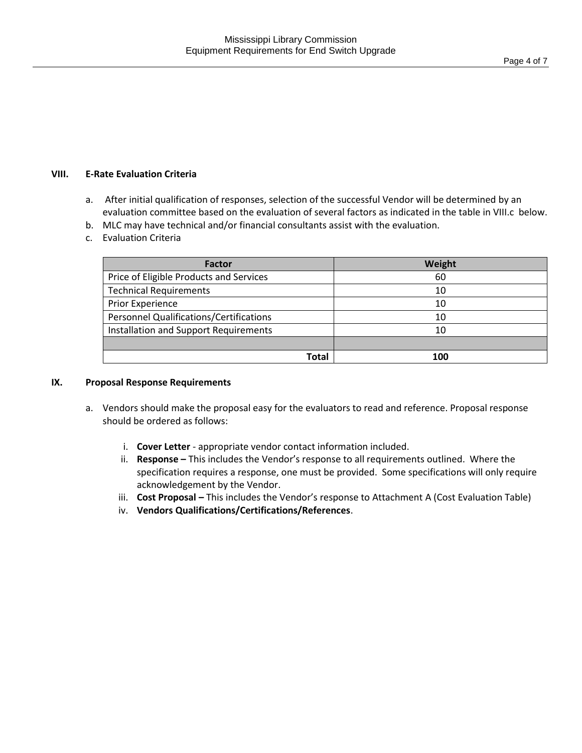## **VIII. E-Rate Evaluation Criteria**

- a. After initial qualification of responses, selection of the successful Vendor will be determined by an evaluation committee based on the evaluation of several factors as indicated in the table in VIII.c below.
- b. MLC may have technical and/or financial consultants assist with the evaluation.
- c. Evaluation Criteria

| Factor                                         | Weight |
|------------------------------------------------|--------|
| Price of Eligible Products and Services        | 60     |
| <b>Technical Requirements</b>                  | 10     |
| Prior Experience                               | 10     |
| <b>Personnel Qualifications/Certifications</b> | 10     |
| Installation and Support Requirements          | 10     |
|                                                |        |
| Total                                          | 100    |

## **IX. Proposal Response Requirements**

- a. Vendors should make the proposal easy for the evaluators to read and reference. Proposal response should be ordered as follows:
	- i. **Cover Letter** appropriate vendor contact information included.
	- ii. **Response –** This includes the Vendor's response to all requirements outlined. Where the specification requires a response, one must be provided. Some specifications will only require acknowledgement by the Vendor.
	- iii. **Cost Proposal –** This includes the Vendor's response to Attachment A (Cost Evaluation Table)
	- iv. **Vendors Qualifications/Certifications/References**.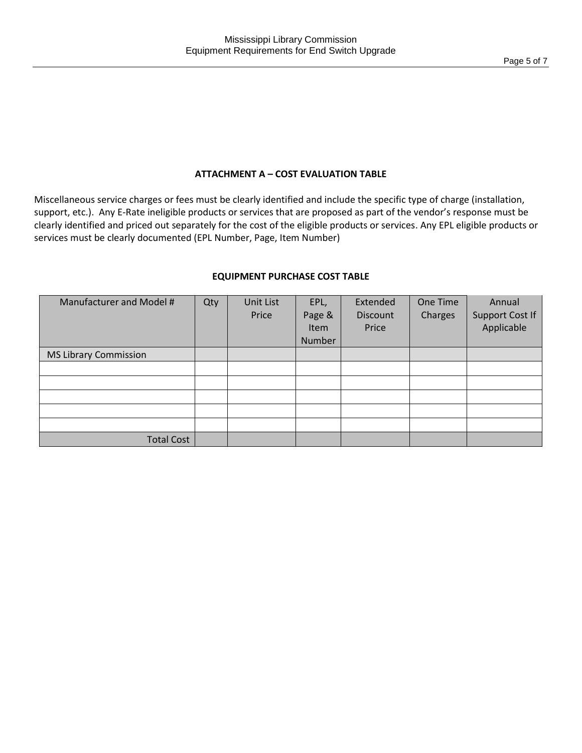# **ATTACHMENT A – COST EVALUATION TABLE**

Miscellaneous service charges or fees must be clearly identified and include the specific type of charge (installation, support, etc.). Any E-Rate ineligible products or services that are proposed as part of the vendor's response must be clearly identified and priced out separately for the cost of the eligible products or services. Any EPL eligible products or services must be clearly documented (EPL Number, Page, Item Number)

| <b>EQUIPMENT PURCHASE COST TABLE</b> |
|--------------------------------------|
|--------------------------------------|

| Manufacturer and Model #     | Qty | Unit List<br>Price | EPL,<br>Page &<br><b>Item</b><br>Number | Extended<br>Discount<br>Price | One Time<br>Charges | Annual<br><b>Support Cost If</b><br>Applicable |
|------------------------------|-----|--------------------|-----------------------------------------|-------------------------------|---------------------|------------------------------------------------|
| <b>MS Library Commission</b> |     |                    |                                         |                               |                     |                                                |
|                              |     |                    |                                         |                               |                     |                                                |
|                              |     |                    |                                         |                               |                     |                                                |
|                              |     |                    |                                         |                               |                     |                                                |
|                              |     |                    |                                         |                               |                     |                                                |
|                              |     |                    |                                         |                               |                     |                                                |
| <b>Total Cost</b>            |     |                    |                                         |                               |                     |                                                |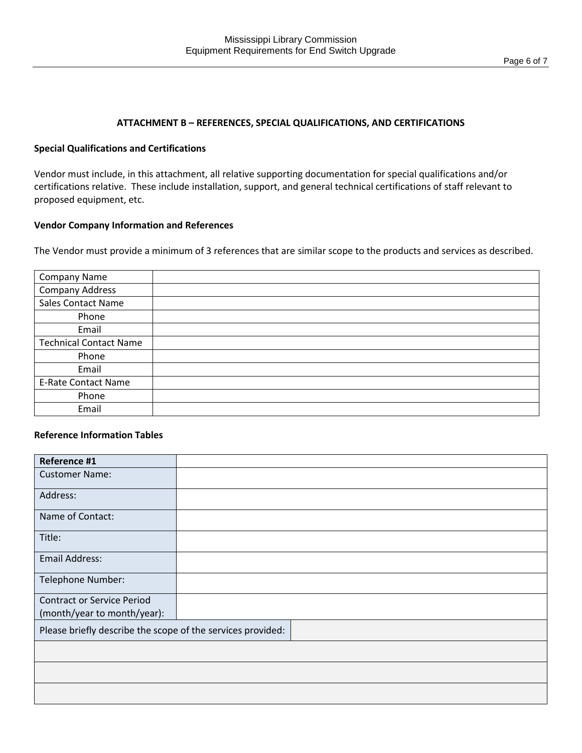#### **ATTACHMENT B – REFERENCES, SPECIAL QUALIFICATIONS, AND CERTIFICATIONS**

#### **Special Qualifications and Certifications**

Vendor must include, in this attachment, all relative supporting documentation for special qualifications and/or certifications relative. These include installation, support, and general technical certifications of staff relevant to proposed equipment, etc.

#### **Vendor Company Information and References**

The Vendor must provide a minimum of 3 references that are similar scope to the products and services as described.

| <b>Company Name</b>           |  |
|-------------------------------|--|
| <b>Company Address</b>        |  |
| <b>Sales Contact Name</b>     |  |
| Phone                         |  |
| Email                         |  |
| <b>Technical Contact Name</b> |  |
| Phone                         |  |
| Email                         |  |
| <b>E-Rate Contact Name</b>    |  |
| Phone                         |  |
| Email                         |  |

### **Reference Information Tables**

| Reference #1                                                |  |
|-------------------------------------------------------------|--|
| <b>Customer Name:</b>                                       |  |
| Address:                                                    |  |
| Name of Contact:                                            |  |
| Title:                                                      |  |
| <b>Email Address:</b>                                       |  |
| Telephone Number:                                           |  |
| <b>Contract or Service Period</b>                           |  |
| (month/year to month/year):                                 |  |
| Please briefly describe the scope of the services provided: |  |
|                                                             |  |
|                                                             |  |
|                                                             |  |